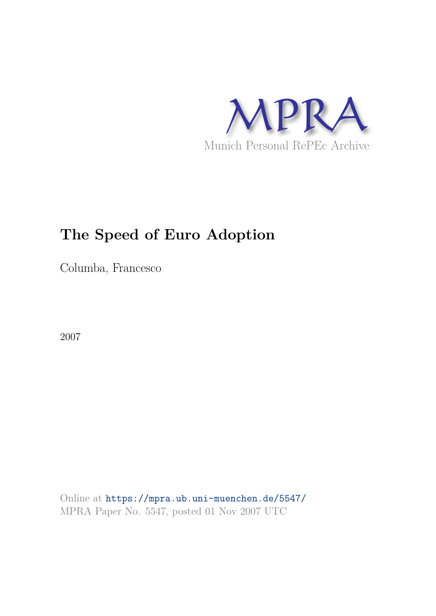

# **The Speed of Euro Adoption**

Columba, Francesco

2007

Online at https://mpra.ub.uni-muenchen.de/5547/ MPRA Paper No. 5547, posted 01 Nov 2007 UTC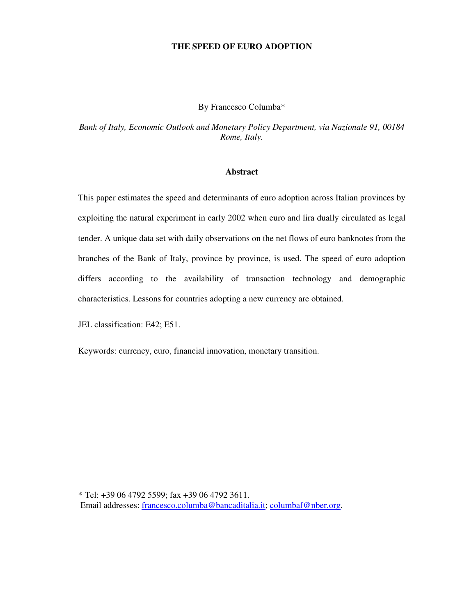# **THE SPEED OF EURO ADOPTION**

By Francesco Columba\*

*Bank of Italy, Economic Outlook and Monetary Policy Department, via Nazionale 91, 00184 Rome, Italy.* 

# **Abstract**

This paper estimates the speed and determinants of euro adoption across Italian provinces by exploiting the natural experiment in early 2002 when euro and lira dually circulated as legal tender. A unique data set with daily observations on the net flows of euro banknotes from the branches of the Bank of Italy, province by province, is used. The speed of euro adoption differs according to the availability of transaction technology and demographic characteristics. Lessons for countries adopting a new currency are obtained.

JEL classification: E42; E51.

Keywords: currency, euro, financial innovation, monetary transition.

\* Tel: +39 06 4792 5599; fax +39 06 4792 3611. Email addresses: francesco.columba@bancaditalia.it; columbaf@nber.org.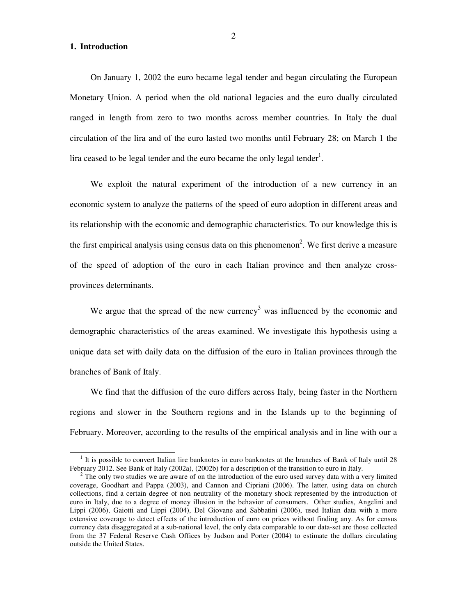# **1. Introduction**

<u>.</u>

On January 1, 2002 the euro became legal tender and began circulating the European Monetary Union. A period when the old national legacies and the euro dually circulated ranged in length from zero to two months across member countries. In Italy the dual circulation of the lira and of the euro lasted two months until February 28; on March 1 the lira ceased to be legal tender and the euro became the only legal tender<sup>1</sup>.

We exploit the natural experiment of the introduction of a new currency in an economic system to analyze the patterns of the speed of euro adoption in different areas and its relationship with the economic and demographic characteristics. To our knowledge this is the first empirical analysis using census data on this phenomenon<sup>2</sup>. We first derive a measure of the speed of adoption of the euro in each Italian province and then analyze crossprovinces determinants.

We argue that the spread of the new currency<sup>3</sup> was influenced by the economic and demographic characteristics of the areas examined. We investigate this hypothesis using a unique data set with daily data on the diffusion of the euro in Italian provinces through the branches of Bank of Italy.

We find that the diffusion of the euro differs across Italy, being faster in the Northern regions and slower in the Southern regions and in the Islands up to the beginning of February. Moreover, according to the results of the empirical analysis and in line with our a

<sup>&</sup>lt;sup>1</sup> It is possible to convert Italian lire banknotes in euro banknotes at the branches of Bank of Italy until 28 February 2012. See Bank of Italy (2002a), (2002b) for a description of the transition to euro in Italy.

 $2^2$  The only two studies we are aware of on the introduction of the euro used survey data with a very limited coverage, Goodhart and Pappa (2003), and Cannon and Cipriani (2006). The latter, using data on church collections, find a certain degree of non neutrality of the monetary shock represented by the introduction of euro in Italy, due to a degree of money illusion in the behavior of consumers. Other studies, Angelini and Lippi (2006), Gaiotti and Lippi (2004), Del Giovane and Sabbatini (2006), used Italian data with a more extensive coverage to detect effects of the introduction of euro on prices without finding any. As for census currency data disaggregated at a sub-national level, the only data comparable to our data-set are those collected from the 37 Federal Reserve Cash Offices by Judson and Porter (2004) to estimate the dollars circulating outside the United States.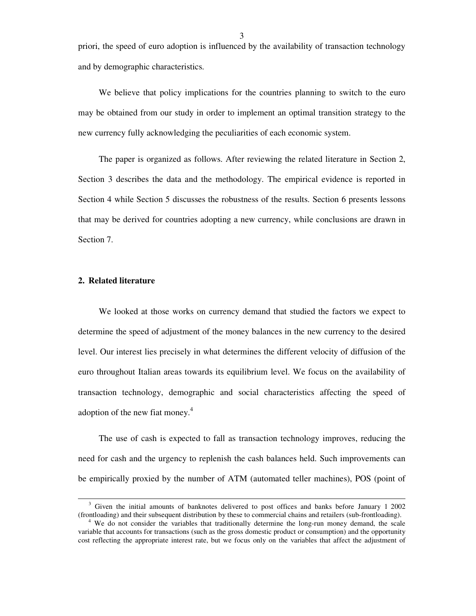priori, the speed of euro adoption is influenced by the availability of transaction technology and by demographic characteristics.

We believe that policy implications for the countries planning to switch to the euro may be obtained from our study in order to implement an optimal transition strategy to the new currency fully acknowledging the peculiarities of each economic system.

The paper is organized as follows. After reviewing the related literature in Section 2, Section 3 describes the data and the methodology. The empirical evidence is reported in Section 4 while Section 5 discusses the robustness of the results. Section 6 presents lessons that may be derived for countries adopting a new currency, while conclusions are drawn in Section 7.

### **2. Related literature**

 $\overline{a}$ 

We looked at those works on currency demand that studied the factors we expect to determine the speed of adjustment of the money balances in the new currency to the desired level. Our interest lies precisely in what determines the different velocity of diffusion of the euro throughout Italian areas towards its equilibrium level. We focus on the availability of transaction technology, demographic and social characteristics affecting the speed of adoption of the new fiat money.<sup>4</sup>

The use of cash is expected to fall as transaction technology improves, reducing the need for cash and the urgency to replenish the cash balances held. Such improvements can be empirically proxied by the number of ATM (automated teller machines), POS (point of

<sup>&</sup>lt;sup>3</sup> Given the initial amounts of banknotes delivered to post offices and banks before January 1 2002 (frontloading) and their subsequent distribution by these to commercial chains and retailers (sub-frontloading).

<sup>&</sup>lt;sup>4</sup> We do not consider the variables that traditionally determine the long-run money demand, the scale variable that accounts for transactions (such as the gross domestic product or consumption) and the opportunity cost reflecting the appropriate interest rate, but we focus only on the variables that affect the adjustment of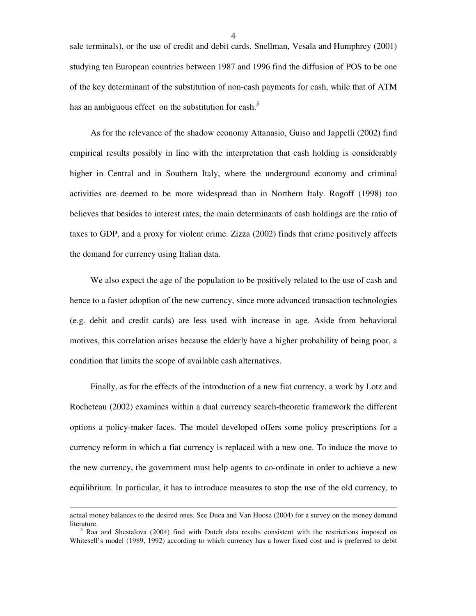sale terminals), or the use of credit and debit cards. Snellman, Vesala and Humphrey (2001) studying ten European countries between 1987 and 1996 find the diffusion of POS to be one of the key determinant of the substitution of non-cash payments for cash, while that of ATM has an ambiguous effect on the substitution for cash.<sup>5</sup>

As for the relevance of the shadow economy Attanasio, Guiso and Jappelli (2002) find empirical results possibly in line with the interpretation that cash holding is considerably higher in Central and in Southern Italy, where the underground economy and criminal activities are deemed to be more widespread than in Northern Italy. Rogoff (1998) too believes that besides to interest rates, the main determinants of cash holdings are the ratio of taxes to GDP, and a proxy for violent crime. Zizza (2002) finds that crime positively affects the demand for currency using Italian data.

We also expect the age of the population to be positively related to the use of cash and hence to a faster adoption of the new currency, since more advanced transaction technologies (e.g. debit and credit cards) are less used with increase in age. Aside from behavioral motives, this correlation arises because the elderly have a higher probability of being poor, a condition that limits the scope of available cash alternatives.

Finally, as for the effects of the introduction of a new fiat currency, a work by Lotz and Rocheteau (2002) examines within a dual currency search-theoretic framework the different options a policy-maker faces. The model developed offers some policy prescriptions for a currency reform in which a fiat currency is replaced with a new one. To induce the move to the new currency, the government must help agents to co-ordinate in order to achieve a new equilibrium. In particular, it has to introduce measures to stop the use of the old currency, to

<u>.</u>

actual money balances to the desired ones. See Duca and Van Hoose (2004) for a survey on the money demand literature.

<sup>&</sup>lt;sup>5</sup> Raa and Shestalova (2004) find with Dutch data results consistent with the restrictions imposed on Whitesell's model (1989, 1992) according to which currency has a lower fixed cost and is preferred to debit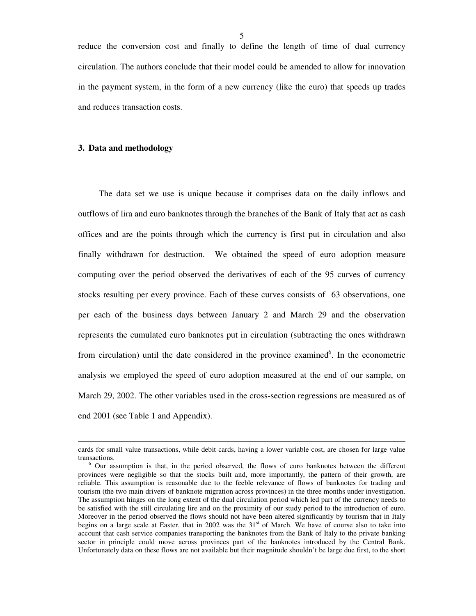reduce the conversion cost and finally to define the length of time of dual currency circulation. The authors conclude that their model could be amended to allow for innovation in the payment system, in the form of a new currency (like the euro) that speeds up trades and reduces transaction costs.

# **3. Data and methodology**

 $\overline{\phantom{0}}$ 

The data set we use is unique because it comprises data on the daily inflows and outflows of lira and euro banknotes through the branches of the Bank of Italy that act as cash offices and are the points through which the currency is first put in circulation and also finally withdrawn for destruction. We obtained the speed of euro adoption measure computing over the period observed the derivatives of each of the 95 curves of currency stocks resulting per every province. Each of these curves consists of 63 observations, one per each of the business days between January 2 and March 29 and the observation represents the cumulated euro banknotes put in circulation (subtracting the ones withdrawn from circulation) until the date considered in the province examined<sup>6</sup>. In the econometric analysis we employed the speed of euro adoption measured at the end of our sample, on March 29, 2002. The other variables used in the cross-section regressions are measured as of end 2001 (see Table 1 and Appendix).

cards for small value transactions, while debit cards, having a lower variable cost, are chosen for large value transactions.

<sup>&</sup>lt;sup>6</sup> Our assumption is that, in the period observed, the flows of euro banknotes between the different provinces were negligible so that the stocks built and, more importantly, the pattern of their growth, are reliable. This assumption is reasonable due to the feeble relevance of flows of banknotes for trading and tourism (the two main drivers of banknote migration across provinces) in the three months under investigation. The assumption hinges on the long extent of the dual circulation period which led part of the currency needs to be satisfied with the still circulating lire and on the proximity of our study period to the introduction of euro. Moreover in the period observed the flows should not have been altered significantly by tourism that in Italy begins on a large scale at Easter, that in 2002 was the  $31<sup>st</sup>$  of March. We have of course also to take into account that cash service companies transporting the banknotes from the Bank of Italy to the private banking sector in principle could move across provinces part of the banknotes introduced by the Central Bank. Unfortunately data on these flows are not available but their magnitude shouldn't be large due first, to the short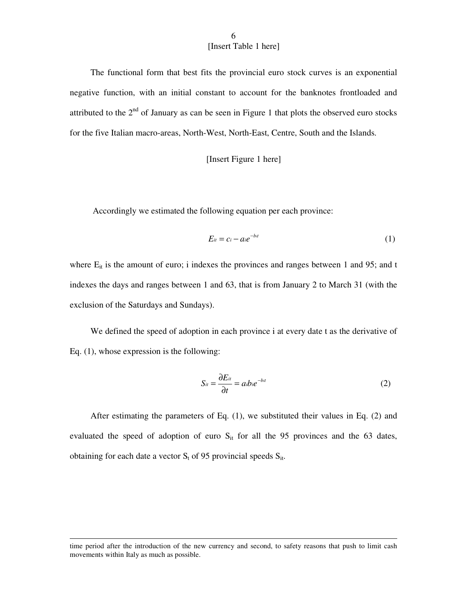# 6 [Insert Table 1 here]

The functional form that best fits the provincial euro stock curves is an exponential negative function, with an initial constant to account for the banknotes frontloaded and attributed to the  $2<sup>nd</sup>$  of January as can be seen in Figure 1 that plots the observed euro stocks for the five Italian macro-areas, North-West, North-East, Centre, South and the Islands.

# [Insert Figure 1 here]

Accordingly we estimated the following equation per each province:

$$
E_{it} = c_i - a_i e^{-bt} \tag{1}
$$

where  $E_{it}$  is the amount of euro; i indexes the provinces and ranges between 1 and 95; and t indexes the days and ranges between 1 and 63, that is from January 2 to March 31 (with the exclusion of the Saturdays and Sundays).

We defined the speed of adoption in each province i at every date t as the derivative of Eq. (1), whose expression is the following:

$$
S_{it} = \frac{\partial E_{it}}{\partial t} = a_i b_i e^{-b_i t}
$$
 (2)

After estimating the parameters of Eq. (1), we substituted their values in Eq. (2) and evaluated the speed of adoption of euro  $S_{it}$  for all the 95 provinces and the 63 dates, obtaining for each date a vector  $S_t$  of 95 provincial speeds  $S_{it}$ .

**.** 

time period after the introduction of the new currency and second, to safety reasons that push to limit cash movements within Italy as much as possible.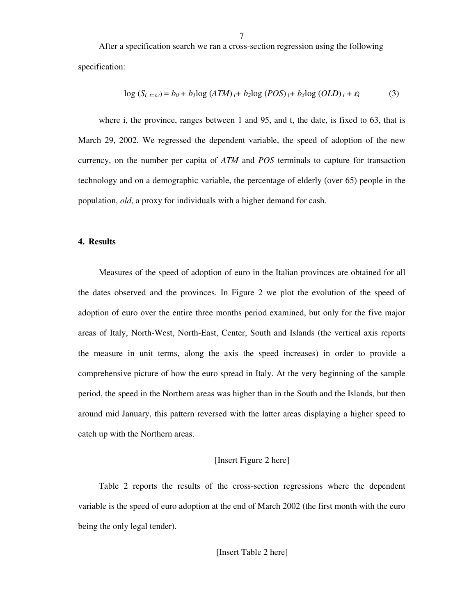After a specification search we ran a cross-section regression using the following specification:

$$
\log (S_{i, t=63}) = b_0 + b_1 \log (ATM)_i + b_2 \log (POS)_i + b_3 \log (OLD)_i + \varepsilon_i
$$
 (3)

where i, the province, ranges between 1 and 95, and t, the date, is fixed to 63, that is March 29, 2002. We regressed the dependent variable, the speed of adoption of the new currency, on the number per capita of *ATM* and *POS* terminals to capture for transaction technology and on a demographic variable, the percentage of elderly (over 65) people in the population, *old*, a proxy for individuals with a higher demand for cash.

# **4. Results**

Measures of the speed of adoption of euro in the Italian provinces are obtained for all the dates observed and the provinces. In Figure 2 we plot the evolution of the speed of adoption of euro over the entire three months period examined, but only for the five major areas of Italy, North-West, North-East, Center, South and Islands (the vertical axis reports the measure in unit terms, along the axis the speed increases) in order to provide a comprehensive picture of how the euro spread in Italy. At the very beginning of the sample period, the speed in the Northern areas was higher than in the South and the Islands, but then around mid January, this pattern reversed with the latter areas displaying a higher speed to catch up with the Northern areas.

# [Insert Figure 2 here]

Table 2 reports the results of the cross-section regressions where the dependent variable is the speed of euro adoption at the end of March 2002 (the first month with the euro being the only legal tender).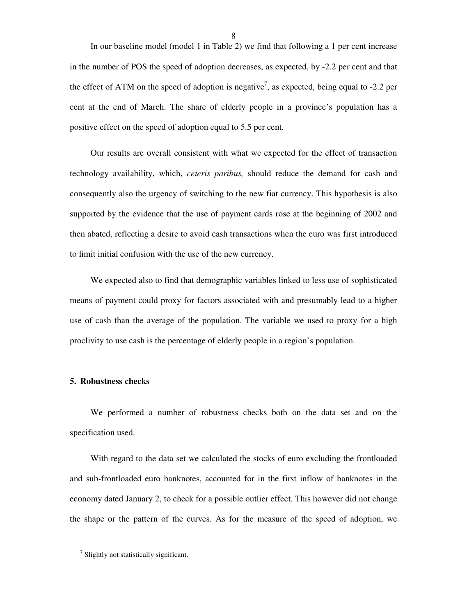In our baseline model (model 1 in Table 2) we find that following a 1 per cent increase in the number of POS the speed of adoption decreases, as expected, by -2.2 per cent and that the effect of ATM on the speed of adoption is negative<sup>7</sup>, as expected, being equal to  $-2.2$  per cent at the end of March. The share of elderly people in a province's population has a positive effect on the speed of adoption equal to 5.5 per cent.

Our results are overall consistent with what we expected for the effect of transaction technology availability, which, *ceteris paribus,* should reduce the demand for cash and consequently also the urgency of switching to the new fiat currency. This hypothesis is also supported by the evidence that the use of payment cards rose at the beginning of 2002 and then abated, reflecting a desire to avoid cash transactions when the euro was first introduced to limit initial confusion with the use of the new currency.

We expected also to find that demographic variables linked to less use of sophisticated means of payment could proxy for factors associated with and presumably lead to a higher use of cash than the average of the population. The variable we used to proxy for a high proclivity to use cash is the percentage of elderly people in a region's population.

# **5. Robustness checks**

We performed a number of robustness checks both on the data set and on the specification used.

With regard to the data set we calculated the stocks of euro excluding the frontloaded and sub-frontloaded euro banknotes, accounted for in the first inflow of banknotes in the economy dated January 2, to check for a possible outlier effect. This however did not change the shape or the pattern of the curves. As for the measure of the speed of adoption, we

<u>.</u>

<sup>&</sup>lt;sup>7</sup> Slightly not statistically significant.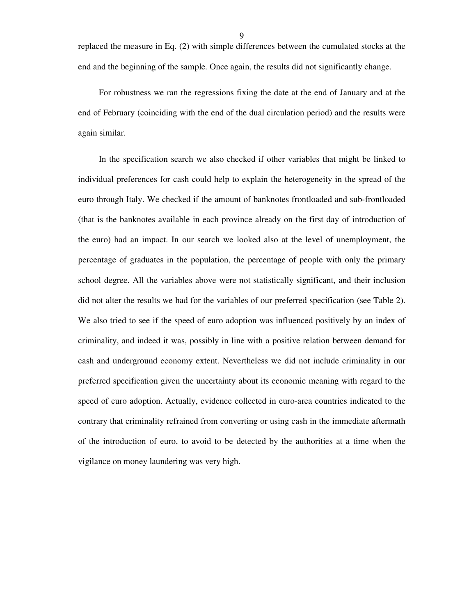replaced the measure in Eq. (2) with simple differences between the cumulated stocks at the end and the beginning of the sample. Once again, the results did not significantly change.

For robustness we ran the regressions fixing the date at the end of January and at the end of February (coinciding with the end of the dual circulation period) and the results were again similar.

In the specification search we also checked if other variables that might be linked to individual preferences for cash could help to explain the heterogeneity in the spread of the euro through Italy. We checked if the amount of banknotes frontloaded and sub-frontloaded (that is the banknotes available in each province already on the first day of introduction of the euro) had an impact. In our search we looked also at the level of unemployment, the percentage of graduates in the population, the percentage of people with only the primary school degree. All the variables above were not statistically significant, and their inclusion did not alter the results we had for the variables of our preferred specification (see Table 2). We also tried to see if the speed of euro adoption was influenced positively by an index of criminality, and indeed it was, possibly in line with a positive relation between demand for cash and underground economy extent. Nevertheless we did not include criminality in our preferred specification given the uncertainty about its economic meaning with regard to the speed of euro adoption. Actually, evidence collected in euro-area countries indicated to the contrary that criminality refrained from converting or using cash in the immediate aftermath of the introduction of euro, to avoid to be detected by the authorities at a time when the vigilance on money laundering was very high.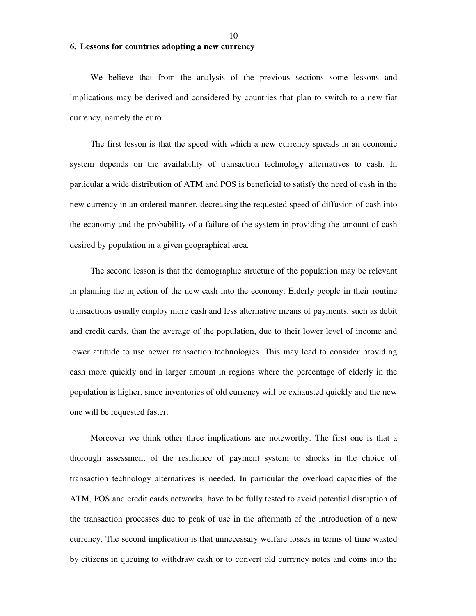#### 10

# **6. Lessons for countries adopting a new currency**

We believe that from the analysis of the previous sections some lessons and implications may be derived and considered by countries that plan to switch to a new fiat currency, namely the euro.

The first lesson is that the speed with which a new currency spreads in an economic system depends on the availability of transaction technology alternatives to cash. In particular a wide distribution of ATM and POS is beneficial to satisfy the need of cash in the new currency in an ordered manner, decreasing the requested speed of diffusion of cash into the economy and the probability of a failure of the system in providing the amount of cash desired by population in a given geographical area.

The second lesson is that the demographic structure of the population may be relevant in planning the injection of the new cash into the economy. Elderly people in their routine transactions usually employ more cash and less alternative means of payments, such as debit and credit cards, than the average of the population, due to their lower level of income and lower attitude to use newer transaction technologies. This may lead to consider providing cash more quickly and in larger amount in regions where the percentage of elderly in the population is higher, since inventories of old currency will be exhausted quickly and the new one will be requested faster.

Moreover we think other three implications are noteworthy. The first one is that a thorough assessment of the resilience of payment system to shocks in the choice of transaction technology alternatives is needed. In particular the overload capacities of the ATM, POS and credit cards networks, have to be fully tested to avoid potential disruption of the transaction processes due to peak of use in the aftermath of the introduction of a new currency. The second implication is that unnecessary welfare losses in terms of time wasted by citizens in queuing to withdraw cash or to convert old currency notes and coins into the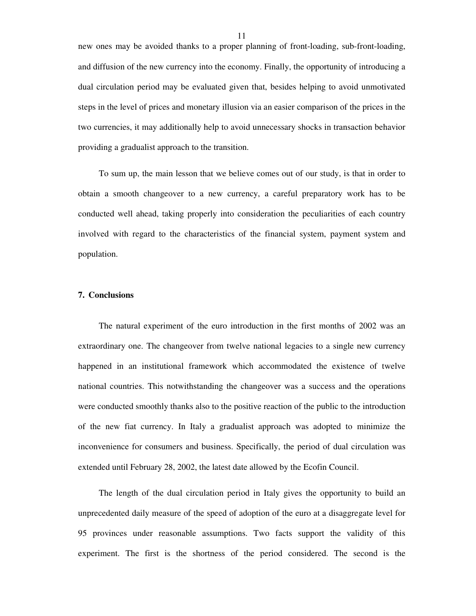new ones may be avoided thanks to a proper planning of front-loading, sub-front-loading, and diffusion of the new currency into the economy. Finally, the opportunity of introducing a dual circulation period may be evaluated given that, besides helping to avoid unmotivated steps in the level of prices and monetary illusion via an easier comparison of the prices in the two currencies, it may additionally help to avoid unnecessary shocks in transaction behavior providing a gradualist approach to the transition.

To sum up, the main lesson that we believe comes out of our study, is that in order to obtain a smooth changeover to a new currency, a careful preparatory work has to be conducted well ahead, taking properly into consideration the peculiarities of each country involved with regard to the characteristics of the financial system, payment system and population.

# **7. Conclusions**

The natural experiment of the euro introduction in the first months of 2002 was an extraordinary one. The changeover from twelve national legacies to a single new currency happened in an institutional framework which accommodated the existence of twelve national countries. This notwithstanding the changeover was a success and the operations were conducted smoothly thanks also to the positive reaction of the public to the introduction of the new fiat currency. In Italy a gradualist approach was adopted to minimize the inconvenience for consumers and business. Specifically, the period of dual circulation was extended until February 28, 2002, the latest date allowed by the Ecofin Council.

The length of the dual circulation period in Italy gives the opportunity to build an unprecedented daily measure of the speed of adoption of the euro at a disaggregate level for 95 provinces under reasonable assumptions. Two facts support the validity of this experiment. The first is the shortness of the period considered. The second is the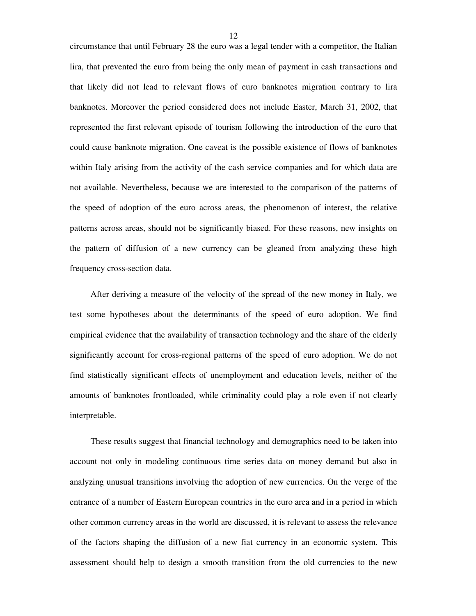circumstance that until February 28 the euro was a legal tender with a competitor, the Italian lira, that prevented the euro from being the only mean of payment in cash transactions and that likely did not lead to relevant flows of euro banknotes migration contrary to lira banknotes. Moreover the period considered does not include Easter, March 31, 2002, that represented the first relevant episode of tourism following the introduction of the euro that could cause banknote migration. One caveat is the possible existence of flows of banknotes within Italy arising from the activity of the cash service companies and for which data are not available. Nevertheless, because we are interested to the comparison of the patterns of the speed of adoption of the euro across areas, the phenomenon of interest, the relative patterns across areas, should not be significantly biased. For these reasons, new insights on the pattern of diffusion of a new currency can be gleaned from analyzing these high frequency cross-section data.

After deriving a measure of the velocity of the spread of the new money in Italy, we test some hypotheses about the determinants of the speed of euro adoption. We find empirical evidence that the availability of transaction technology and the share of the elderly significantly account for cross-regional patterns of the speed of euro adoption. We do not find statistically significant effects of unemployment and education levels, neither of the amounts of banknotes frontloaded, while criminality could play a role even if not clearly interpretable.

These results suggest that financial technology and demographics need to be taken into account not only in modeling continuous time series data on money demand but also in analyzing unusual transitions involving the adoption of new currencies. On the verge of the entrance of a number of Eastern European countries in the euro area and in a period in which other common currency areas in the world are discussed, it is relevant to assess the relevance of the factors shaping the diffusion of a new fiat currency in an economic system. This assessment should help to design a smooth transition from the old currencies to the new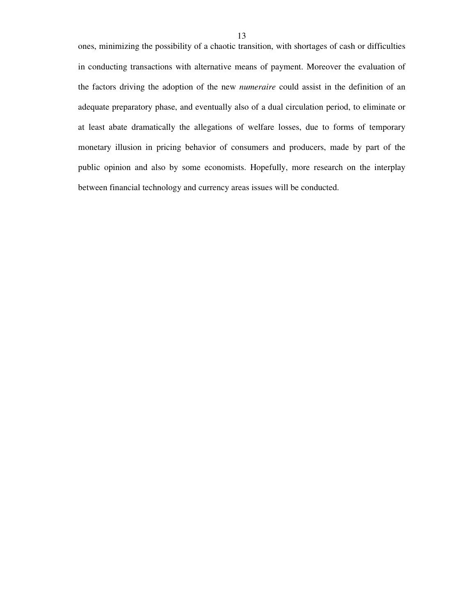ones, minimizing the possibility of a chaotic transition, with shortages of cash or difficulties in conducting transactions with alternative means of payment. Moreover the evaluation of the factors driving the adoption of the new *numeraire* could assist in the definition of an adequate preparatory phase, and eventually also of a dual circulation period, to eliminate or at least abate dramatically the allegations of welfare losses, due to forms of temporary monetary illusion in pricing behavior of consumers and producers, made by part of the public opinion and also by some economists. Hopefully, more research on the interplay between financial technology and currency areas issues will be conducted.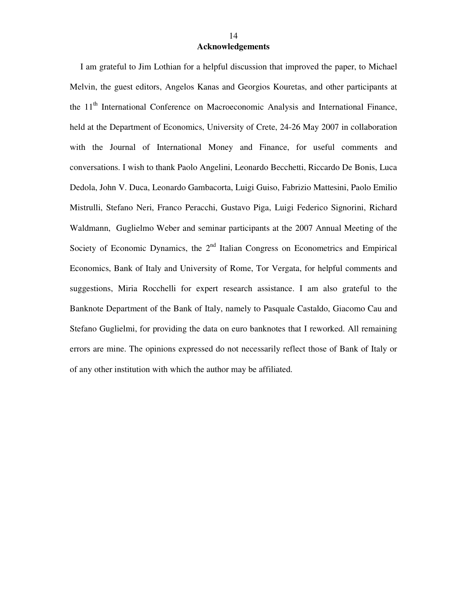# **Acknowledgements**

I am grateful to Jim Lothian for a helpful discussion that improved the paper, to Michael Melvin, the guest editors, Angelos Kanas and Georgios Kouretas, and other participants at the 11<sup>th</sup> International Conference on Macroeconomic Analysis and International Finance, held at the Department of Economics, University of Crete, 24-26 May 2007 in collaboration with the Journal of International Money and Finance, for useful comments and conversations. I wish to thank Paolo Angelini, Leonardo Becchetti, Riccardo De Bonis, Luca Dedola, John V. Duca, Leonardo Gambacorta, Luigi Guiso, Fabrizio Mattesini, Paolo Emilio Mistrulli, Stefano Neri, Franco Peracchi, Gustavo Piga, Luigi Federico Signorini, Richard Waldmann, Guglielmo Weber and seminar participants at the 2007 Annual Meeting of the Society of Economic Dynamics, the  $2<sup>nd</sup>$  Italian Congress on Econometrics and Empirical Economics, Bank of Italy and University of Rome, Tor Vergata, for helpful comments and suggestions, Miria Rocchelli for expert research assistance. I am also grateful to the Banknote Department of the Bank of Italy, namely to Pasquale Castaldo, Giacomo Cau and Stefano Guglielmi, for providing the data on euro banknotes that I reworked. All remaining errors are mine. The opinions expressed do not necessarily reflect those of Bank of Italy or of any other institution with which the author may be affiliated.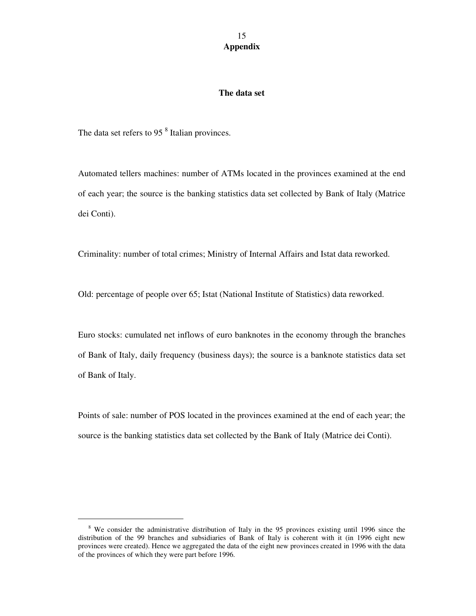# 15 **Appendix**

# **The data set**

The data set refers to 95 $<sup>8</sup>$  Italian provinces.</sup>

 $\overline{a}$ 

Automated tellers machines: number of ATMs located in the provinces examined at the end of each year; the source is the banking statistics data set collected by Bank of Italy (Matrice dei Conti).

Criminality: number of total crimes; Ministry of Internal Affairs and Istat data reworked.

Old: percentage of people over 65; Istat (National Institute of Statistics) data reworked.

Euro stocks: cumulated net inflows of euro banknotes in the economy through the branches of Bank of Italy, daily frequency (business days); the source is a banknote statistics data set of Bank of Italy.

Points of sale: number of POS located in the provinces examined at the end of each year; the source is the banking statistics data set collected by the Bank of Italy (Matrice dei Conti).

<sup>&</sup>lt;sup>8</sup> We consider the administrative distribution of Italy in the 95 provinces existing until 1996 since the distribution of the 99 branches and subsidiaries of Bank of Italy is coherent with it (in 1996 eight new provinces were created). Hence we aggregated the data of the eight new provinces created in 1996 with the data of the provinces of which they were part before 1996.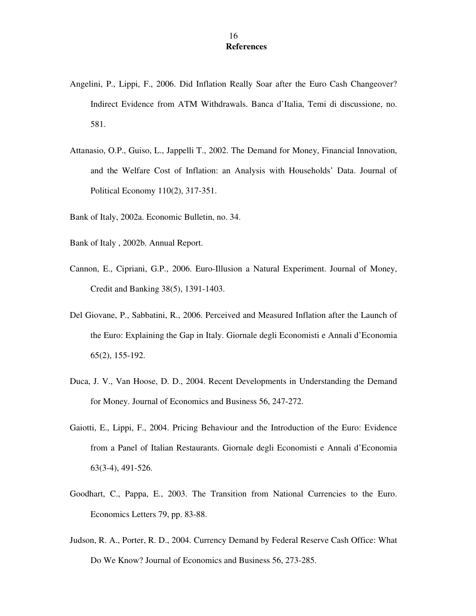- Angelini, P., Lippi, F., 2006. Did Inflation Really Soar after the Euro Cash Changeover? Indirect Evidence from ATM Withdrawals. Banca d'Italia, Temi di discussione, no. 581.
- Attanasio, O.P., Guiso, L., Jappelli T., 2002. The Demand for Money, Financial Innovation, and the Welfare Cost of Inflation: an Analysis with Households' Data. Journal of Political Economy 110(2), 317-351.
- Bank of Italy, 2002a. Economic Bulletin, no. 34.
- Bank of Italy , 2002b. Annual Report.
- Cannon, E., Cipriani, G.P., 2006. Euro-Illusion a Natural Experiment. Journal of Money, Credit and Banking 38(5), 1391-1403.
- Del Giovane, P., Sabbatini, R., 2006. Perceived and Measured Inflation after the Launch of the Euro: Explaining the Gap in Italy. Giornale degli Economisti e Annali d'Economia 65(2), 155-192.
- Duca, J. V., Van Hoose, D. D., 2004. Recent Developments in Understanding the Demand for Money. Journal of Economics and Business 56, 247-272.
- Gaiotti, E., Lippi, F., 2004. Pricing Behaviour and the Introduction of the Euro: Evidence from a Panel of Italian Restaurants. Giornale degli Economisti e Annali d'Economia 63(3-4), 491-526.
- Goodhart, C., Pappa, E., 2003. The Transition from National Currencies to the Euro. Economics Letters 79, pp. 83-88.
- Judson, R. A., Porter, R. D., 2004. Currency Demand by Federal Reserve Cash Office: What Do We Know? Journal of Economics and Business 56, 273-285.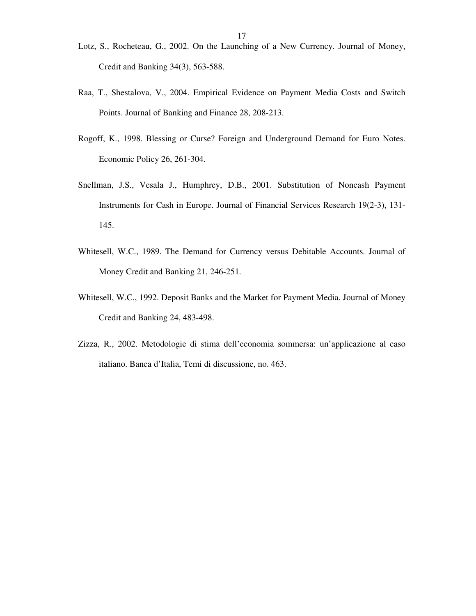- Lotz, S., Rocheteau, G., 2002. On the Launching of a New Currency. Journal of Money, Credit and Banking 34(3), 563-588.
- Raa, T., Shestalova, V., 2004. Empirical Evidence on Payment Media Costs and Switch Points. Journal of Banking and Finance 28, 208-213.
- Rogoff, K., 1998. Blessing or Curse? Foreign and Underground Demand for Euro Notes. Economic Policy 26, 261-304.
- Snellman, J.S., Vesala J., Humphrey, D.B., 2001. Substitution of Noncash Payment Instruments for Cash in Europe. Journal of Financial Services Research 19(2-3), 131- 145.
- Whitesell, W.C., 1989. The Demand for Currency versus Debitable Accounts. Journal of Money Credit and Banking 21, 246-251.
- Whitesell, W.C., 1992. Deposit Banks and the Market for Payment Media. Journal of Money Credit and Banking 24, 483-498.
- Zizza, R., 2002. Metodologie di stima dell'economia sommersa: un'applicazione al caso italiano. Banca d'Italia, Temi di discussione, no. 463.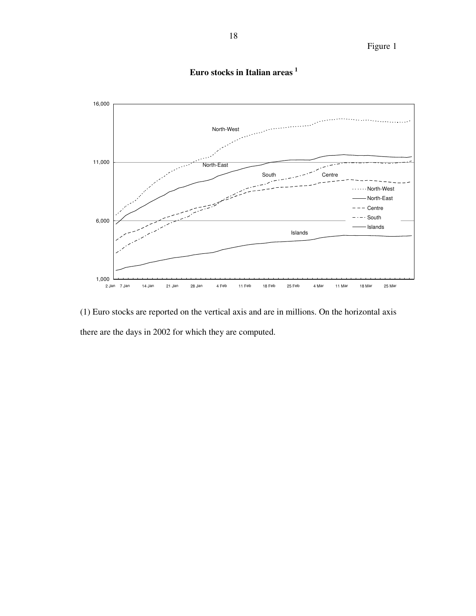

# **Euro stocks in Italian areas <sup>1</sup>**

(1) Euro stocks are reported on the vertical axis and are in millions. On the horizontal axis there are the days in 2002 for which they are computed.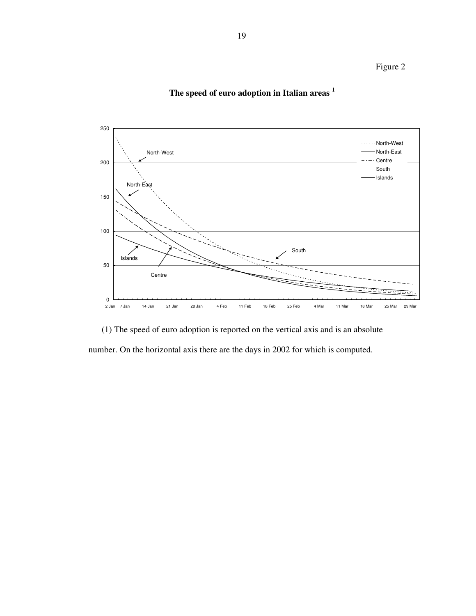Figure 2



# **The speed of euro adoption in Italian areas <sup>1</sup>**

 (1) The speed of euro adoption is reported on the vertical axis and is an absolute number. On the horizontal axis there are the days in 2002 for which is computed.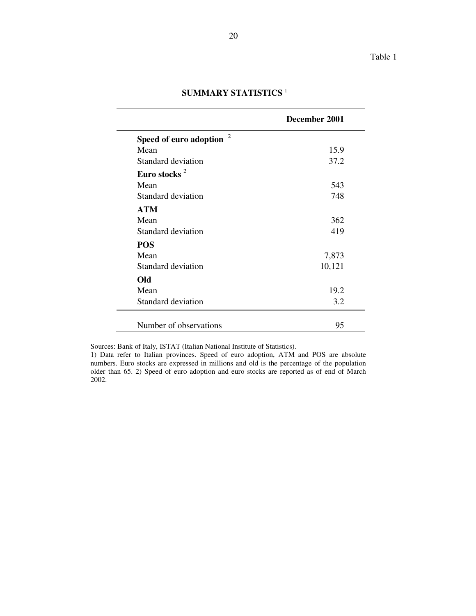|                                     | December 2001 |
|-------------------------------------|---------------|
| Speed of euro adoption <sup>2</sup> |               |
| Mean                                | 15.9          |
| Standard deviation                  | 37.2          |
| Euro stocks $^2$                    |               |
| Mean                                | 543           |
| Standard deviation                  | 748           |
| <b>ATM</b>                          |               |
| Mean                                | 362           |
| Standard deviation                  | 419           |
| <b>POS</b>                          |               |
| Mean                                | 7,873         |
| Standard deviation                  | 10,121        |
| Old                                 |               |
| Mean                                | 19.2          |
| Standard deviation                  | 3.2           |
| Number of observations              | 95            |

# **SUMMARY STATISTICS** <sup>1</sup>

Sources: Bank of Italy, ISTAT (Italian National Institute of Statistics).

1) Data refer to Italian provinces. Speed of euro adoption, ATM and POS are absolute numbers. Euro stocks are expressed in millions and old is the percentage of the population older than 65. 2) Speed of euro adoption and euro stocks are reported as of end of March 2002.